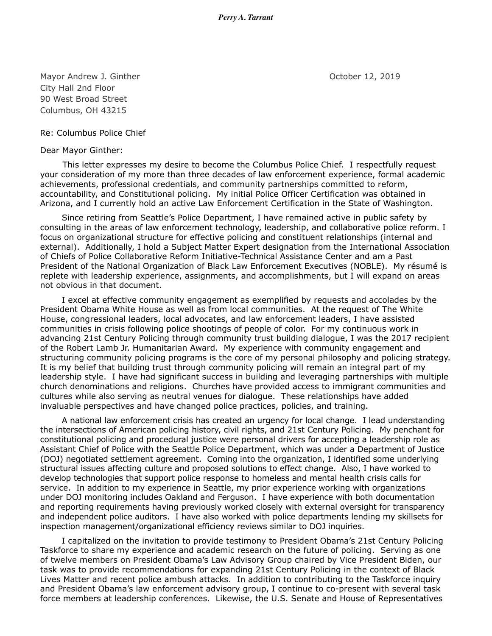*Perry A. Tarrant*

Mayor Andrew J. Ginther **National Community** Corresponding to the October 12, 2019 City Hall 2nd Floor 90 West Broad Street Columbus, OH 43215

Re: Columbus Police Chief

Dear Mayor Ginther:

This letter expresses my desire to become the Columbus Police Chief. I respectfully request your consideration of my more than three decades of law enforcement experience, formal academic achievements, professional credentials, and community partnerships committed to reform, accountability, and Constitutional policing. My initial Police Officer Certification was obtained in Arizona, and I currently hold an active Law Enforcement Certification in the State of Washington.

Since retiring from Seattle's Police Department, I have remained active in public safety by consulting in the areas of law enforcement technology, leadership, and collaborative police reform. I focus on organizational structure for effective policing and constituent relationships (internal and external). Additionally, I hold a Subject Matter Expert designation from the International Association of Chiefs of Police Collaborative Reform Initiative-Technical Assistance Center and am a Past President of the National Organization of Black Law Enforcement Executives (NOBLE). My résumé is replete with leadership experience, assignments, and accomplishments, but I will expand on areas not obvious in that document.

I excel at effective community engagement as exemplified by requests and accolades by the President Obama White House as well as from local communities. At the request of The White House, congressional leaders, local advocates, and law enforcement leaders, I have assisted communities in crisis following police shootings of people of color. For my continuous work in advancing 21st Century Policing through community trust building dialogue, I was the 2017 recipient of the Robert Lamb Jr. Humanitarian Award. My experience with community engagement and structuring community policing programs is the core of my personal philosophy and policing strategy. It is my belief that building trust through community policing will remain an integral part of my leadership style. I have had significant success in building and leveraging partnerships with multiple church denominations and religions. Churches have provided access to immigrant communities and cultures while also serving as neutral venues for dialogue. These relationships have added invaluable perspectives and have changed police practices, policies, and training.

A national law enforcement crisis has created an urgency for local change. I lead understanding the intersections of American policing history, civil rights, and 21st Century Policing. My penchant for constitutional policing and procedural justice were personal drivers for accepting a leadership role as Assistant Chief of Police with the Seattle Police Department, which was under a Department of Justice (DOJ) negotiated settlement agreement. Coming into the organization, I identified some underlying structural issues affecting culture and proposed solutions to effect change. Also, I have worked to develop technologies that support police response to homeless and mental health crisis calls for service. In addition to my experience in Seattle, my prior experience working with organizations under DOJ monitoring includes Oakland and Ferguson. I have experience with both documentation and reporting requirements having previously worked closely with external oversight for transparency and independent police auditors. I have also worked with police departments lending my skillsets for inspection management/organizational efficiency reviews similar to DOJ inquiries.

I capitalized on the invitation to provide testimony to President Obama's 21st Century Policing Taskforce to share my experience and academic research on the future of policing. Serving as one of twelve members on President Obama's Law Advisory Group chaired by Vice President Biden, our task was to provide recommendations for expanding 21st Century Policing in the context of Black Lives Matter and recent police ambush attacks. In addition to contributing to the Taskforce inquiry and President Obama's law enforcement advisory group, I continue to co-present with several task force members at leadership conferences. Likewise, the U.S. Senate and House of Representatives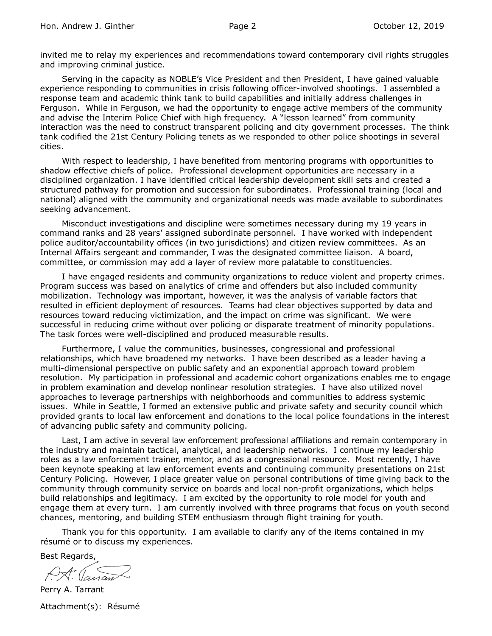invited me to relay my experiences and recommendations toward contemporary civil rights struggles and improving criminal justice.

Serving in the capacity as NOBLE's Vice President and then President, I have gained valuable experience responding to communities in crisis following officer-involved shootings. I assembled a response team and academic think tank to build capabilities and initially address challenges in Ferguson. While in Ferguson, we had the opportunity to engage active members of the community and advise the Interim Police Chief with high frequency. A "lesson learned" from community interaction was the need to construct transparent policing and city government processes. The think tank codified the 21st Century Policing tenets as we responded to other police shootings in several cities.

With respect to leadership, I have benefited from mentoring programs with opportunities to shadow effective chiefs of police. Professional development opportunities are necessary in a disciplined organization. I have identified critical leadership development skill sets and created a structured pathway for promotion and succession for subordinates. Professional training (local and national) aligned with the community and organizational needs was made available to subordinates seeking advancement.

Misconduct investigations and discipline were sometimes necessary during my 19 years in command ranks and 28 years' assigned subordinate personnel. I have worked with independent police auditor/accountability offices (in two jurisdictions) and citizen review committees. As an Internal Affairs sergeant and commander, I was the designated committee liaison. A board, committee, or commission may add a layer of review more palatable to constituencies.

I have engaged residents and community organizations to reduce violent and property crimes. Program success was based on analytics of crime and offenders but also included community mobilization. Technology was important, however, it was the analysis of variable factors that resulted in efficient deployment of resources. Teams had clear objectives supported by data and resources toward reducing victimization, and the impact on crime was significant. We were successful in reducing crime without over policing or disparate treatment of minority populations. The task forces were well-disciplined and produced measurable results.

Furthermore, I value the communities, businesses, congressional and professional relationships, which have broadened my networks. I have been described as a leader having a multi-dimensional perspective on public safety and an exponential approach toward problem resolution. My participation in professional and academic cohort organizations enables me to engage in problem examination and develop nonlinear resolution strategies. I have also utilized novel approaches to leverage partnerships with neighborhoods and communities to address systemic issues. While in Seattle, I formed an extensive public and private safety and security council which provided grants to local law enforcement and donations to the local police foundations in the interest of advancing public safety and community policing.

Last, I am active in several law enforcement professional affiliations and remain contemporary in the industry and maintain tactical, analytical, and leadership networks. I continue my leadership roles as a law enforcement trainer, mentor, and as a congressional resource. Most recently, I have been keynote speaking at law enforcement events and continuing community presentations on 21st Century Policing. However, I place greater value on personal contributions of time giving back to the community through community service on boards and local non-profit organizations, which helps build relationships and legitimacy. I am excited by the opportunity to role model for youth and engage them at every turn. I am currently involved with three programs that focus on youth second chances, mentoring, and building STEM enthusiasm through flight training for youth.

Thank you for this opportunity. I am available to clarify any of the items contained in my résumé or to discuss my experiences.

Best Regards,

Perry A. Tarrant

Attachment(s): Résumé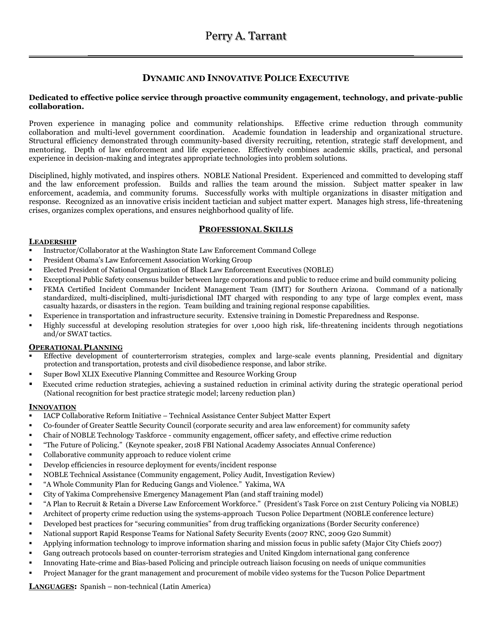# **DYNAMIC AND INNOVATIVE POLICE EXECUTIVE**

### **Dedicated to effective police service through proactive community engagement, technology, and private-public collaboration.**

Proven experience in managing police and community relationships. Effective crime reduction through community collaboration and multi-level government coordination. Academic foundation in leadership and organizational structure. Structural efficiency demonstrated through community-based diversity recruiting, retention, strategic staff development, and mentoring. Depth of law enforcement and life experience. Effectively combines academic skills, practical, and personal experience in decision-making and integrates appropriate technologies into problem solutions.

Disciplined, highly motivated, and inspires others. NOBLE National President. Experienced and committed to developing staff and the law enforcement profession. Builds and rallies the team around the mission. Subject matter speaker in law enforcement, academia, and community forums. Successfully works with multiple organizations in disaster mitigation and response. Recognized as an innovative crisis incident tactician and subject matter expert. Manages high stress, life-threatening crises, organizes complex operations, and ensures neighborhood quality of life.

# **PROFESSIONAL SKILLS**

### **LEADERSHIP**

- Instructor/Collaborator at the Washington State Law Enforcement Command College
- President Obama's Law Enforcement Association Working Group
- Elected President of National Organization of Black Law Enforcement Executives (NOBLE)
- Exceptional Public Safety consensus builder between large corporations and public to reduce crime and build community policing
- FEMA Certified Incident Commander Incident Management Team (IMT) for Southern Arizona. Command of a nationally standardized, multi-disciplined, multi-jurisdictional IMT charged with responding to any type of large complex event, mass casualty hazards, or disasters in the region. Team building and training regional response capabilities.
- Experience in transportation and infrastructure security. Extensive training in Domestic Preparedness and Response.
- Highly successful at developing resolution strategies for over 1,000 high risk, life-threatening incidents through negotiations and/or SWAT tactics.

### **OPERATIONAL PLANNING**

- Effective development of counterterrorism strategies, complex and large-scale events planning, Presidential and dignitary protection and transportation, protests and civil disobedience response, and labor strike.
- Super Bowl XLIX Executive Planning Committee and Resource Working Group
- Executed crime reduction strategies, achieving a sustained reduction in criminal activity during the strategic operational period (National recognition for best practice strategic model; larceny reduction plan)

### **INNOVATION**

- IACP Collaborative Reform Initiative Technical Assistance Center Subject Matter Expert
- Co-founder of Greater Seattle Security Council (corporate security and area law enforcement) for community safety
- Chair of NOBLE Technology Taskforce community engagement, officer safety, and effective crime reduction
- "The Future of Policing." (Keynote speaker, 2018 FBI National Academy Associates Annual Conference)
- Collaborative community approach to reduce violent crime
- Develop efficiencies in resource deployment for events/incident response
- NOBLE Technical Assistance (Community engagement, Policy Audit, Investigation Review)
- "A Whole Community Plan for Reducing Gangs and Violence." Yakima, WA
- City of Yakima Comprehensive Emergency Management Plan (and staff training model)
- "A Plan to Recruit & Retain a Diverse Law Enforcement Workforce." (President's Task Force on 21st Century Policing via NOBLE)
- Architect of property crime reduction using the systems-approach Tucson Police Department (NOBLE conference lecture)
- Developed best practices for "securing communities" from drug trafficking organizations (Border Security conference)
- National support Rapid Response Teams for National Safety Security Events (2007 RNC, 2009 G20 Summit)
- Applying information technology to improve information sharing and mission focus in public safety (Major City Chiefs 2007)
- Gang outreach protocols based on counter-terrorism strategies and United Kingdom international gang conference
- Innovating Hate-crime and Bias-based Policing and principle outreach liaison focusing on needs of unique communities
- Project Manager for the grant management and procurement of mobile video systems for the Tucson Police Department

**LANGUAGES:** Spanish – non-technical (Latin America)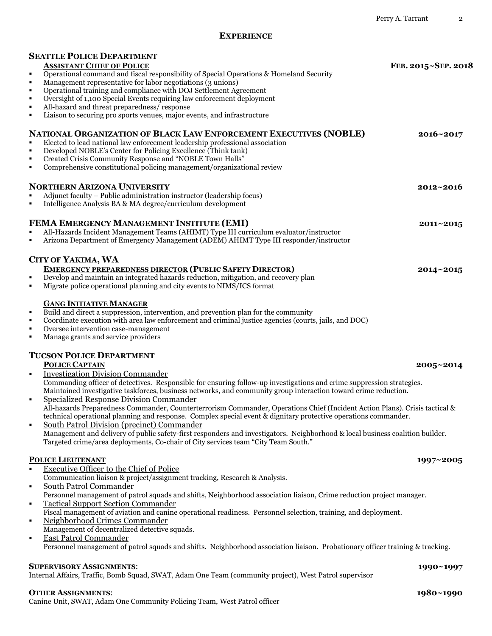# **EXPERIENCE**

| <b>SEATTLE POLICE DEPARTMENT</b><br><b>ASSISTANT CHIEF OF POLICE</b>                                                                                                                                                                                                                              | FEB. 2015~SEP. 2018 |
|---------------------------------------------------------------------------------------------------------------------------------------------------------------------------------------------------------------------------------------------------------------------------------------------------|---------------------|
| Operational command and fiscal responsibility of Special Operations & Homeland Security<br>٠                                                                                                                                                                                                      |                     |
| Management representative for labor negotiations (3 unions)<br>٠                                                                                                                                                                                                                                  |                     |
| Operational training and compliance with DOJ Settlement Agreement<br>٠<br>Oversight of 1,100 Special Events requiring law enforcement deployment<br>п                                                                                                                                             |                     |
| All-hazard and threat preparedness/response<br>п                                                                                                                                                                                                                                                  |                     |
| Liaison to securing pro sports venues, major events, and infrastructure<br>٠                                                                                                                                                                                                                      |                     |
| <b>NATIONAL ORGANIZATION OF BLACK LAW ENFORCEMENT EXECUTIVES (NOBLE)</b><br>Elected to lead national law enforcement leadership professional association<br>Developed NOBLE's Center for Policing Excellence (Think tank)<br>п                                                                    | $2016 \times 2017$  |
| Created Crisis Community Response and "NOBLE Town Halls"<br>٠<br>Comprehensive constitutional policing management/organizational review<br>٠                                                                                                                                                      |                     |
| <b>NORTHERN ARIZONA UNIVERSITY</b>                                                                                                                                                                                                                                                                | $2012 \times 2016$  |
| Adjunct faculty - Public administration instructor (leadership focus)<br>$\blacksquare$<br>Intelligence Analysis BA & MA degree/curriculum development                                                                                                                                            |                     |
| FEMA EMERGENCY MANAGEMENT INSTITUTE (EMI)                                                                                                                                                                                                                                                         | 2011~2015           |
| All-Hazards Incident Management Teams (AHIMT) Type III curriculum evaluator/instructor<br>×<br>Arizona Department of Emergency Management (ADEM) AHIMT Type III responder/instructor<br>٠                                                                                                         |                     |
| <b>CITY OF YAKIMA, WA</b>                                                                                                                                                                                                                                                                         |                     |
| <b>EMERGENCY PREPAREDNESS DIRECTOR (PUBLIC SAFETY DIRECTOR)</b><br>Develop and maintain an integrated hazards reduction, mitigation, and recovery plan<br>٠<br>Migrate police operational planning and city events to NIMS/ICS format<br>٠                                                        | 2014~2015           |
| <b>GANG INITIATIVE MANAGER</b><br>Build and direct a suppression, intervention, and prevention plan for the community<br>٠<br>Coordinate execution with area law enforcement and criminal justice agencies (courts, jails, and DOC)<br>п                                                          |                     |
| Oversee intervention case-management<br>٠<br>Manage grants and service providers<br>٠                                                                                                                                                                                                             |                     |
| <b>TUCSON POLICE DEPARTMENT</b>                                                                                                                                                                                                                                                                   |                     |
| <b>POLICE CAPTAIN</b><br><b>Investigation Division Commander</b><br>٠                                                                                                                                                                                                                             | 2005~2014           |
| Commanding officer of detectives. Responsible for ensuring follow-up investigations and crime suppression strategies.<br>Maintained investigative taskforces, business networks, and community group interaction toward crime reduction.<br>Specialized Response Division Commander<br>٠          |                     |
| All-hazards Preparedness Commander, Counterterrorism Commander, Operations Chief (Incident Action Plans). Crisis tactical &<br>technical operational planning and response. Complex special event & dignitary protective operations commander.<br>South Patrol Division (precinct) Commander<br>٠ |                     |
| Management and delivery of public safety-first responders and investigators. Neighborhood & local business coalition builder.<br>Targeted crime/area deployments, Co-chair of City services team "City Team South."                                                                               |                     |
| <b>POLICE LIEUTENANT</b>                                                                                                                                                                                                                                                                          | 1997~2005           |
| <b>Executive Officer to the Chief of Police</b><br>$\blacksquare$<br>Communication liaison & project/assignment tracking, Research & Analysis.                                                                                                                                                    |                     |
| South Patrol Commander<br>٠                                                                                                                                                                                                                                                                       |                     |
| Personnel management of patrol squads and shifts, Neighborhood association liaison, Crime reduction project manager.                                                                                                                                                                              |                     |
| <b>Tactical Support Section Commander</b><br>٠<br>Fiscal management of aviation and canine operational readiness. Personnel selection, training, and deployment.                                                                                                                                  |                     |
| Neighborhood Crimes Commander<br>٠                                                                                                                                                                                                                                                                |                     |
| Management of decentralized detective squads.                                                                                                                                                                                                                                                     |                     |
| <b>East Patrol Commander</b><br>٠<br>Personnel management of patrol squads and shifts. Neighborhood association liaison. Probationary officer training & tracking.                                                                                                                                |                     |
| <b>SUPERVISORY ASSIGNMENTS:</b>                                                                                                                                                                                                                                                                   | 1990~1997           |
| Internal Affairs, Traffic, Bomb Squad, SWAT, Adam One Team (community project), West Patrol supervisor                                                                                                                                                                                            |                     |
| <b>OTHER ASSIGNMENTS:</b>                                                                                                                                                                                                                                                                         | 1980~1990           |
| Canine Unit, SWAT, Adam One Community Policing Team, West Patrol officer                                                                                                                                                                                                                          |                     |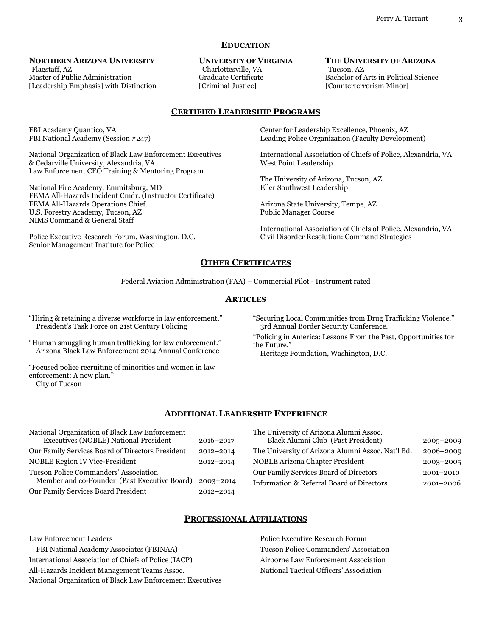### **EDUCATION**

### **NORTHERN ARIZONA UNIVERSITY**

Flagstaff, AZ Master of Public Administration [Leadership Emphasis] with Distinction

#### **UNIVERSITY OF VIRGINIA**

 Charlottesville, VA Graduate Certificate [Criminal Justice]

#### **THE UNIVERSITY OF ARIZONA** Tucson, AZ Bachelor of Arts in Political Science [Counterterrorism Minor]

### **CERTIFIED LEADERSHIP PROGRAMS**

FBI Academy Quantico, VA FBI National Academy (Session #247)

National Organization of Black Law Enforcement Executives & Cedarville University, Alexandria, VA Law Enforcement CEO Training & Mentoring Program

National Fire Academy, Emmitsburg, MD FEMA All-Hazards Incident Cmdr. (Instructor Certificate) FEMA All-Hazards Operations Chief. U.S. Forestry Academy, Tucson, AZ NIMS Command & General Staff

Police Executive Research Forum, Washington, D.C. Senior Management Institute for Police

Center for Leadership Excellence, Phoenix, AZ Leading Police Organization (Faculty Development)

International Association of Chiefs of Police, Alexandria, VA West Point Leadership

The University of Arizona, Tucson, AZ Eller Southwest Leadership

Arizona State University, Tempe, AZ Public Manager Course

International Association of Chiefs of Police, Alexandria, VA Civil Disorder Resolution: Command Strategies

# **OTHER CERTIFICATES**

Federal Aviation Administration (FAA) – Commercial Pilot - Instrument rated

### **ARTICLES**

"Hiring & retaining a diverse workforce in law enforcement*.*" President's Task Force on 21st Century Policing

"Human smuggling human trafficking for law enforcement." Arizona Black Law Enforcement 2014 Annual Conference

"Focused police recruiting of minorities and women in law enforcement: A new plan."

City of Tucson

"Securing Local Communities from Drug Trafficking Violence." 3rd Annual Border Security Conference.

"Policing in America: Lessons From the Past, Opportunities for the Future."

Heritage Foundation, Washington, D.C.

### **ADDITIONAL LEADERSHIP EXPERIENCE**

| National Organization of Black Law Enforcement   |           | The University of Arizona Alumni Assoc.           |               |
|--------------------------------------------------|-----------|---------------------------------------------------|---------------|
| Executives (NOBLE) National President            | 2016-2017 | Black Alumni Club (Past President)                | $2005 - 2009$ |
| Our Family Services Board of Directors President | 2012-2014 | The University of Arizona Alumni Assoc. Nat'l Bd. | 2006-2009     |
| <b>NOBLE Region IV Vice-President</b>            | 2012-2014 | <b>NOBLE Arizona Chapter President</b>            | $2003 - 2005$ |
| Tucson Police Commanders' Association            |           | Our Family Services Board of Directors            | 2001-2010     |
| Member and co-Founder (Past Executive Board)     | 2003-2014 | Information & Referral Board of Directors         | 2001-2006     |
| Our Family Services Board President              | 2012-2014 |                                                   |               |

# **PROFESSIONAL AFFILIATIONS**

Law Enforcement Leaders FBI National Academy Associates (FBINAA) International Association of Chiefs of Police (IACP) All-Hazards Incident Management Teams Assoc. National Organization of Black Law Enforcement Executives

Police Executive Research Forum Tucson Police Commanders' Association Airborne Law Enforcement Association National Tactical Officers' Association